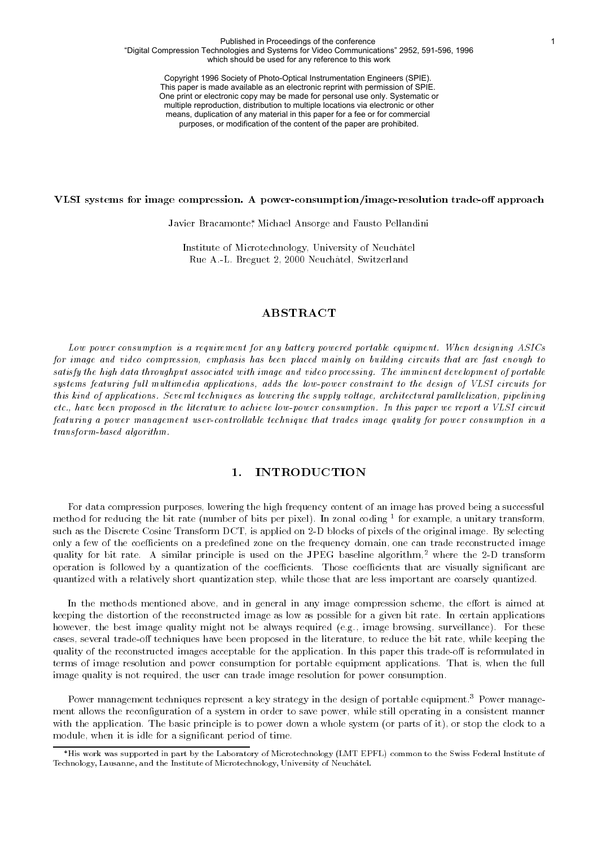Copyright 1996 Society of Photo-Optical Instrumentation Engineers (SPIE). This paper is made available as an electronic reprint with permission of SPIE. One print or electronic copy may be made for personal use only. Systematic or multiple reproduction, distribution to multiple locations via electronic or other means, duplication of any material in this paper for a fee or for commercial purposes, or modification of the content of the paper are prohibited.

#### VLSI systems for image compression. A power-consumption/image-resolution trade-off approach

Javier Bracamonte , Michael Ansorge and Fausto Pellandini

Institute of Microtechnology, University of Neuch^atel Rue A.-L. Breguet 2, 2000 Neuch^atel, Switzerland

## ABSTRACT

Low power consumption is a requirement for any battery powered portable equipment. When designing ASICs for image and video compression, emphasis has been placed mainly on building circuits that are fast enough to satisfy the high data throughput associated with image and video processing. The imminent development of portable systems featuring ful l multimedia applications, adds the low-power constraint to the design of VLSI circuits for this kind of applications. Several techniques as lowering the supply voltage, architectural parallelization, pipelining etc., have been proposed in the literature to achieve low-power consumption. In this paper we report a VLSI circuit featuring a power management user-controllable technique that trades image quality for power consumption in a transform-based algorithm.

# 1. INTRODUCTION

For data compression purposes, lowering the high frequency content of an image has proved being a successful method for reducing the bit rate (number of bits per pixel). In zonal coding <sup>1</sup> for example, a unitary transform, such as the Discrete Cosine Transform DCT, is applied on 2-D blocks of pixels of the original image. By selecting only a few of the coefficients on a predefined zone on the frequency domain, one can trade reconstructed image quality for bit rate. A similar principle is used on the JPEG baseline algorithm,2 where the 2-D transform operation is followed by a quantization of the coefficients. Those coefficients that are visually significant are quantized with a relatively short quantization step, while those that are less important are coarsely quantized.

In the methods mentioned above, and in general in any image compression scheme, the effort is aimed at keeping the distortion of the reconstructed image as low as possible for a given bit rate. In certain applications however, the best image quality might not be always required (e.g., image browsing, surveillance). For these cases, several trade-off techniques have been proposed in the literature, to reduce the bit rate, while keeping the quality of the reconstructed images acceptable for the application. In this paper this trade-off is reformulated in terms of image resolution and power consumption for portable equipment applications. That is, when the full image quality is not required, the user can trade image resolution for power consumption.

Power management techniques represent a key strategy in the design of portable equipment.<sup>3</sup> Power manage ment allows the reconguration of a system in order to save power, while still operating in a consistent manner with the application. The basic principle is to power down a whole system (or parts of it), or stop the clock to a module, when it is idle for a significant period of time.

His work was supported in part by the Laboratory of Microtechnology (LMT EPFL) common to the Swiss Federal Institute ofTechnology, Lausanne, and the Institute of Microtechnology, University of Neuch^atel.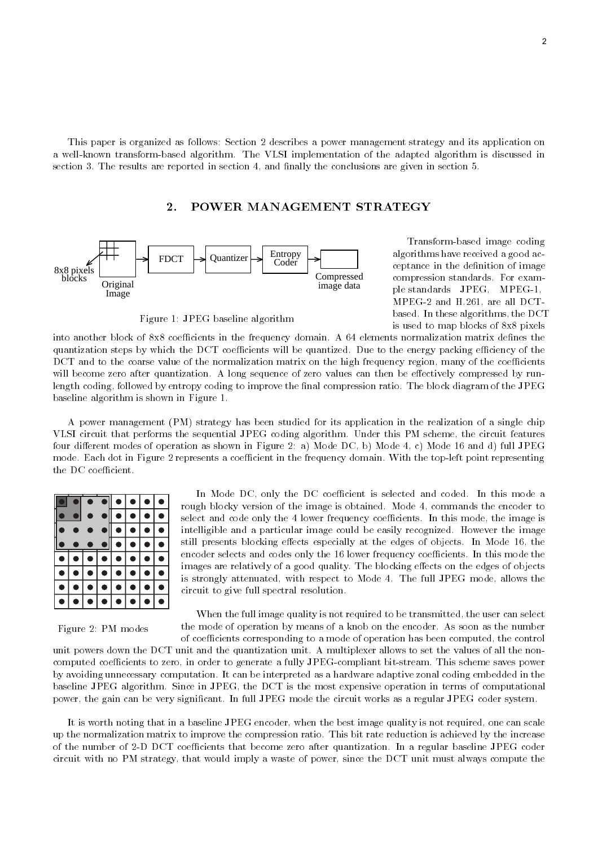This paper is organized as follows: Section 2 describes a power management strategy and its application on a well-known transform-based algorithm. The VLSI implementation of the adapted algorithm is discussed in section 3. The results are reported in section 4, and finally the conclusions are given in section 5.

# 2. POWER MANAGEMENT STRATEGY



Figure 1: JPEG baseline algorithm

Transform-based image coding algorithms have received a good acceptance in the definition of image compression standards. For example standards JPEG, MPEG-1, MPEG-2 and H.261, are all DCTbased. In these algorithms, the DCT is used to map blocks of 8x8 pixels

into another block of 8x8 coefficients in the frequency domain. A 64 elements normalization matrix defines the quantization steps by which the DCT coefficients will be quantized. Due to the energy packing efficiency of the DCT and to the coarse value of the normalization matrix on the high frequency region, many of the coefficients will become zero after quantization. A long sequence of zero values can then be effectively compressed by runlength coding, followed by entropy coding to improve the final compression ratio. The block diagram of the JPEG baseline algorithm is shown in Figure 1.

A power management (PM) strategy has been studied for its application in the realization of a single chip VLSI circuit that performs the sequential JPEG coding algorithm. Under this PM scheme, the circuit features four different modes of operation as shown in Figure 2: a) Mode DC, b) Mode 4, c) Mode 16 and d) full JPEG mode. Each dot in Figure 2 represents a coefficient in the frequency domain. With the top-left point representing the DC coefficient

| $\overline{\bullet}$ |           | $\bullet$ $\bullet$ $\bullet$ $\bullet$ $\bullet$       |                       |  |
|----------------------|-----------|---------------------------------------------------------|-----------------------|--|
|                      | ø.        |                                                         |                       |  |
|                      |           | $\bullet$ $\bullet$                                     | 0 I                   |  |
| $\bullet$            | $\bullet$ | ، او                                                    | $\bullet   \bullet  $ |  |
|                      |           | $\bullet\bullet\bullet\bullet\bullet\bullet\phantom{.}$ |                       |  |
|                      |           | $\bullet \bullet \bullet \bullet $                      |                       |  |
|                      |           | $\bullet   \bullet   \bullet   \bullet  $               |                       |  |
|                      | ė         | $  \bullet   \bullet   \bullet  $                       |                       |  |

Figure 2: PM modes

In Mode DC, only the DC coefficient is selected and coded. In this mode a rough blocky version of the image is obtained. Mode 4, commands the encoder to select and code only the 4 lower frequency coefficients. In this mode, the image is intelligible and a particular image could be easily recognized. However the image still presents blocking effects especially at the edges of objects. In Mode 16, the encoder selects and codes only the 16 lower frequency coefficients. In this mode the images are relatively of a good quality. The blocking effects on the edges of objects is strongly attenuated, with respect to Mode 4. The full JPEG mode, allows the circuit to give full spectral resolution.

When the full image quality is not required to be transmitted, the user can select the mode of operation by means of a knob on the encoder. As soon as the number of coecients corresponding to a mode of operation has been computed, the control

unit powers down the DCT unit and the quantization unit. A multiplexer allows to set the values of all the noncomputed coefficients to zero, in order to generate a fully JPEG-compliant bit-stream. This scheme saves power by avoiding unnecessary computation. It can be interpreted as a hardware adaptive zonal coding embedded in the baseline JPEG algorithm. Since in JPEG, the DCT is the most expensive operation in terms of computational power, the gain can be very signicant. In full JPEG mode the circuit works as a regular JPEG coder system.

It is worth noting that in a baseline JPEG encoder, when the best image quality is not required, one can scale up the normalization matrix to improve the compression ratio. This bit rate reduction is achieved by the increase of the number of 2-D DCT coefficients that become zero after quantization. In a regular baseline JPEG coder circuit with no PM strategy, that would imply a waste of power, since the DCT unit must always compute the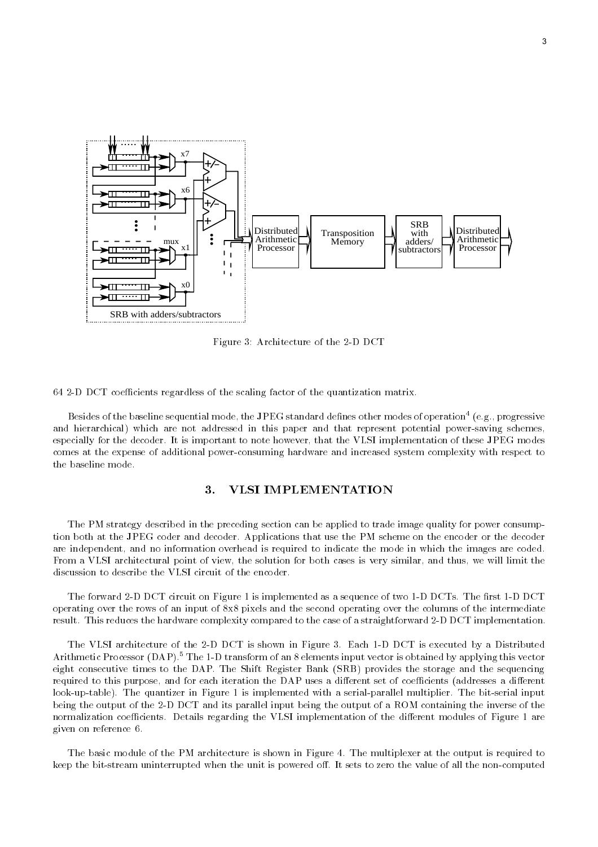

Figure 3: Architecture of the 2-D DCT

 $64$  2-D DCT coefficients regardless of the scaling factor of the quantization matrix.

Besides of the baseline sequential mode, the JPEG standard denes other modes of operation4 (e.g., progressive and hierarchical) which are not addressed in this paper and that represent potential power-saving schemes, especially for the decoder. It is important to note however, that the VLSI implementation of these JPEG modes comes at the expense of additional power-consuming hardware and increased system complexity with respect to the baseline mode.

## 3. VLSI IMPLEMENTATION

The PM strategy described in the preceding section can be applied to trade image quality for power consumption both at the JPEG coder and decoder. Applications that use the PM scheme on the encoder or the decoder are independent, and no information overhead is required to indicate the mode in which the images are coded. From a VLSI architectural point of view, the solution for both cases is very similar, and thus, we will limit the discussion to describe the VLSI circuit of the encoder.

The forward 2-D DCT circuit on Figure 1 is implemented as a sequence of two 1-D DCTs. The first 1-D DCT operating over the rows of an input of 8x8 pixels and the second operating over the columns of the intermediate result. This reduces the hardware complexity compared to the case of a straightforward 2-D DCT implementation.

The VLSI architecture of the 2-D DCT is shown in Figure 3. Each 1-D DCT is executed by a Distributed Arithmetic Processor (DAP).5 The 1-D transform of an 8 elements input vector is obtained by applying this vector eight consecutive times to the DAP. The Shift Register Bank (SRB) provides the storage and the sequencing required to this purpose, and for each iteration the DAP uses a different set of coefficients (addresses a different look-up-table). The quantizer in Figure 1 is implemented with a serial-parallel multiplier. The bit-serial input being the output of the 2-D DCT and its parallel input being the output of a ROM containing the inverse of the normalization coefficients. Details regarding the VLSI implementation of the different modules of Figure 1 are given on reference 6.

The basic module of the PM architecture is shown in Figure 4. The multiplexer at the output is required to keep the bit-stream uninterrupted when the unit is powered off. It sets to zero the value of all the non-computed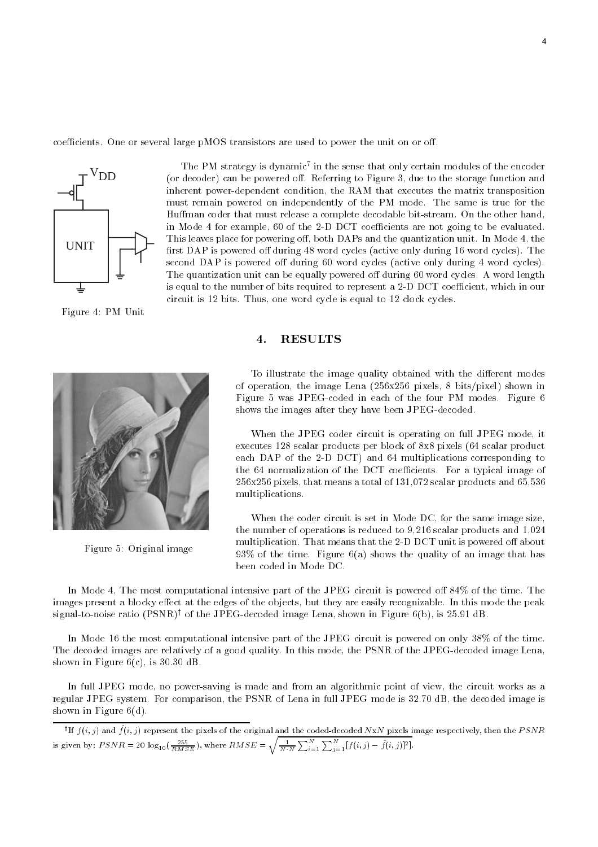$coefficients$ . One or several large pMOS transistors are used to power the unit on or off.



Figure 4: PM Unit

The PM strategy is dynamic<sup>+</sup> in the sense that only certain modules of the encoder (or decoder) can be powered off. Referring to Figure 3, due to the storage function and inherent power-dependent condition, the RAM that executes the matrix transposition must remain powered on independently of the PM mode. The same is true for the Human coder that must release a complete decodable bit-stream. On the other hand, in Mode 4 for example, 60 of the 2-D DCT coefficients are not going to be evaluated. This leaves place for powering off, both DAPs and the quantization unit. In Mode 4, the first DAP is powered off during  $48$  word cycles (active only during  $16$  word cycles). The second DAP is powered off during 60 word cycles (active only during 4 word cycles). The quantization unit can be equally powered off during 60 word cycles. A word length is equal to the number of bits required to represent a 2-D DCT coefficient, which in our circuit is 12 bits. Thus, one word cycle is equal to 12 clock cycles.

### 4. RESULTS



Figure 5: Original image

To illustrate the image quality obtained with the different modes of operation, the image Lena (256x256 pixels, 8 bits/pixel) shown in Figure 5 was JPEG-coded in each of the four PM modes. Figure 6 shows the images after they have been JPEG-decoded.

When the JPEG coder circuit is operating on full JPEG mode, it executes 128 scalar products per block of 8x8 pixels (64 scalar product each DAP of the 2-D DCT) and 64 multiplications corresponding to the 64 normalization of the DCT coefficients. For a typical image of 256x256 pixels, that means a total of 131,072 scalar products and 65,536 multiplications.

When the coder circuit is set in Mode DC, for the same image size, the number of operations is reduced to 9,216 scalar products and 1,024 multiplication. That means that the  $2-D$  DCT unit is powered off about  $93\%$  of the time. Figure  $6(a)$  shows the quality of an image that has been coded in Mode DC.

In Mode 4, The most computational intensive part of the JPEG circuit is powered off 84% of the time. The images present a blocky effect at the edges of the objects, but they are easily recognizable. In this mode the peak signal-to-noise ratio (PSNR)<sup>†</sup> of the JPEG-decoded image Lena, shown in Figure 6(b), is 25.91 dB.

In Mode 16 the most computational intensive part of the JPEG circuit is powered on only 38% of the time. The decoded images are relatively of a good quality. In this mode, the PSNR of the JPEG-decoded image Lena, shown in Figure  $6(c)$ , is 30.30 dB.

In full JPEG mode, no power-saving is made and from an algorithmic point of view, the circuit works as a regular JPEG system. For comparison, the PSNR of Lena in full JPEG mode is 32.70 dB, the decoded image is shown in Figure 6(d).

If  $f(i,j)$  and  $f(i,j)$  represent the pixels of the original and the coded-decoded NxIV pixels image respectively, then the  $FSNR$ is given by:  $PSNR = 20 \log_{10}(\frac{255}{RMSE})$ , where  $RMSE = \sqrt{\frac{1}{N \cdot N} \sum_{i=1}^{N} \sum_{j=1}^{N} [f(i, j) - \hat{f}(i, j)]^2}$ .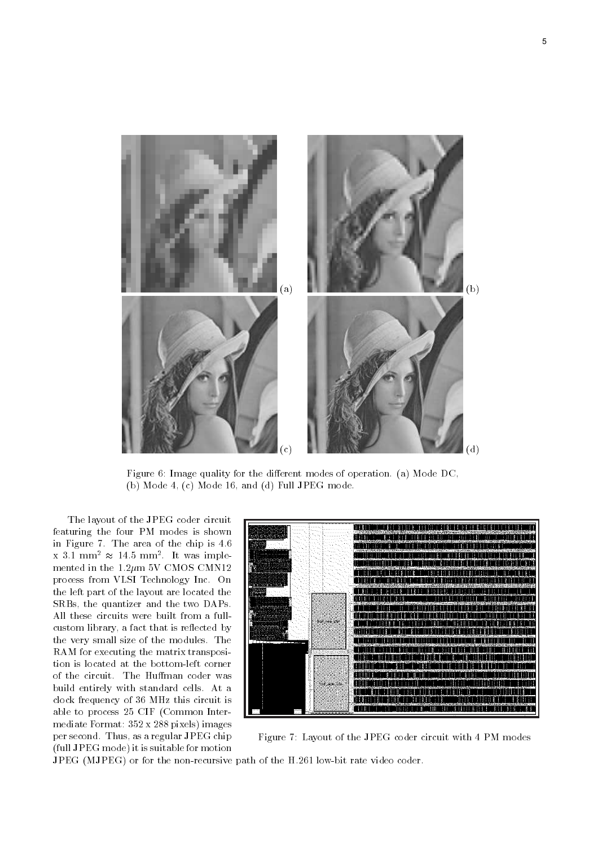

Figure 6: Image quality for the different modes of operation. (a) Mode DC, (b) Mode 4, (c) Mode 16, and (d) Full JPEG mode.

The layout of the JPEG coder circuit featuring the four PM modes is shown in Figure 7. The area of the chip is 4.6 x 3.1 mm2 14.5 mm2 . It was imple mented in the  $1.2 \mu m 5V$  CMOS CMN12 process from VLSI Technology Inc. On the left part of the layout are located the SRBs, the quantizer and the two DAPs. All these circuits were built from a fullcustom library, a fact that is reflected by the very small size of the modules. The RAM for executing the matrix transposition is located at the bottom-left corner of the circuit. The Huffman coder was build entirely with standard cells. At a clock frequency of 36 MHz this circuit is able to process 25 CIF (Common Intermediate Format: 352 x 288 pixels) images per second. Thus, as a regular JPEG chip (full JPEG mode) it is suitable for motion



Figure 7: Layout of the JPEG coder circuit with 4 PM modes

JPEG (MJPEG) or for the non-recursive path of the H.261 low-bit rate video coder.